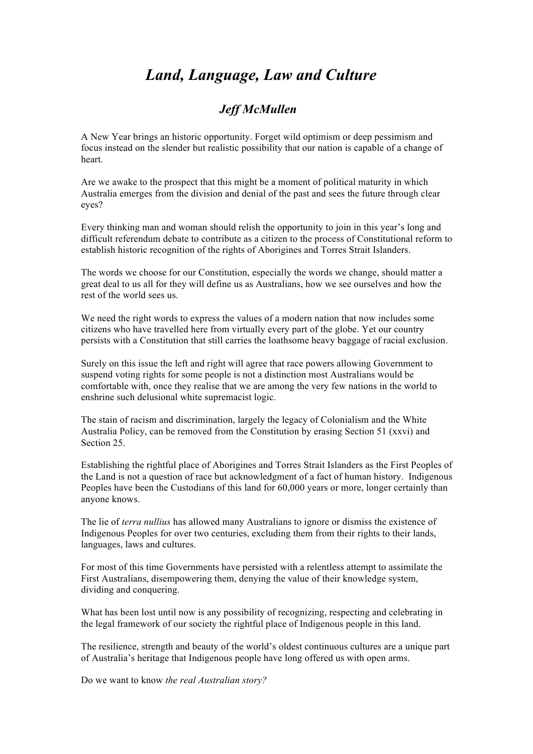## *Land, Language, Law and Culture*

## *Jeff McMullen*

A New Year brings an historic opportunity. Forget wild optimism or deep pessimism and focus instead on the slender but realistic possibility that our nation is capable of a change of heart.

Are we awake to the prospect that this might be a moment of political maturity in which Australia emerges from the division and denial of the past and sees the future through clear eyes?

Every thinking man and woman should relish the opportunity to join in this year's long and difficult referendum debate to contribute as a citizen to the process of Constitutional reform to establish historic recognition of the rights of Aborigines and Torres Strait Islanders.

The words we choose for our Constitution, especially the words we change, should matter a great deal to us all for they will define us as Australians, how we see ourselves and how the rest of the world sees us.

We need the right words to express the values of a modern nation that now includes some citizens who have travelled here from virtually every part of the globe. Yet our country persists with a Constitution that still carries the loathsome heavy baggage of racial exclusion.

Surely on this issue the left and right will agree that race powers allowing Government to suspend voting rights for some people is not a distinction most Australians would be comfortable with, once they realise that we are among the very few nations in the world to enshrine such delusional white supremacist logic.

The stain of racism and discrimination, largely the legacy of Colonialism and the White Australia Policy, can be removed from the Constitution by erasing Section 51 (xxvi) and Section 25.

Establishing the rightful place of Aborigines and Torres Strait Islanders as the First Peoples of the Land is not a question of race but acknowledgment of a fact of human history. Indigenous Peoples have been the Custodians of this land for 60,000 years or more, longer certainly than anyone knows.

The lie of *terra nullius* has allowed many Australians to ignore or dismiss the existence of Indigenous Peoples for over two centuries, excluding them from their rights to their lands, languages, laws and cultures.

For most of this time Governments have persisted with a relentless attempt to assimilate the First Australians, disempowering them, denying the value of their knowledge system, dividing and conquering.

What has been lost until now is any possibility of recognizing, respecting and celebrating in the legal framework of our society the rightful place of Indigenous people in this land.

The resilience, strength and beauty of the world's oldest continuous cultures are a unique part of Australia's heritage that Indigenous people have long offered us with open arms.

Do we want to know *the real Australian story?*